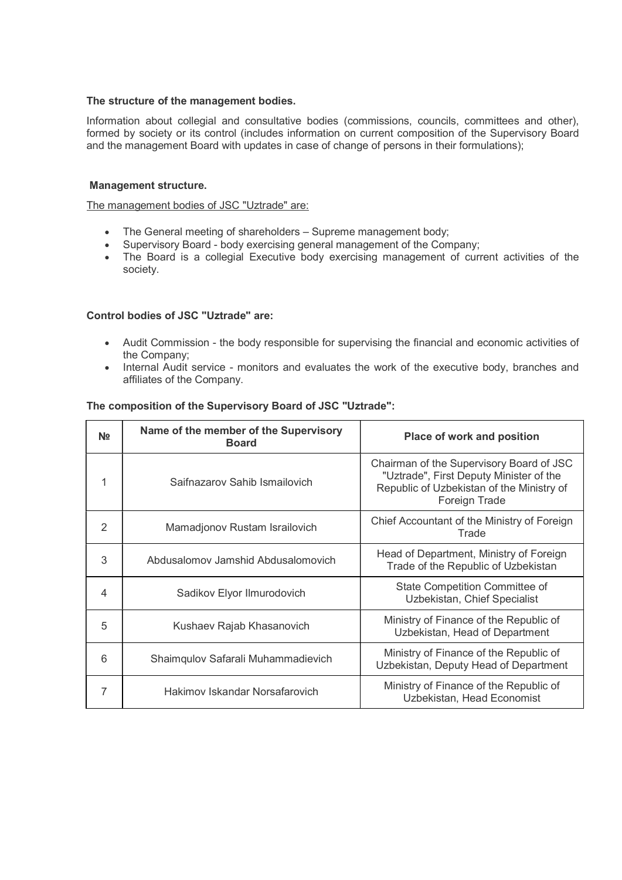#### The structure of the management bodies.

Information about collegial and consultative bodies (commissions, councils, committees and other), formed by society or its control (includes information on current composition of the Supervisory Board and the management Board with updates in case of change of persons in their formulations);

#### Management structure.

The management bodies of JSC "Uztrade" are:

- The General meeting of shareholders Supreme management body;
- Supervisory Board body exercising general management of the Company;
- The Board is a collegial Executive body exercising management of current activities of the society.

### Control bodies of JSC "Uztrade" are:

- Audit Commission the body responsible for supervising the financial and economic activities of the Company;
- Internal Audit service monitors and evaluates the work of the executive body, branches and affiliates of the Company.

### The composition of the Supervisory Board of JSC "Uztrade":

| N <sub>2</sub> | Name of the member of the Supervisory<br><b>Board</b> | <b>Place of work and position</b>                                                                                                                 |
|----------------|-------------------------------------------------------|---------------------------------------------------------------------------------------------------------------------------------------------------|
| 1              | Saifnazarov Sahib Ismailovich                         | Chairman of the Supervisory Board of JSC<br>"Uztrade", First Deputy Minister of the<br>Republic of Uzbekistan of the Ministry of<br>Foreign Trade |
| $\mathcal{P}$  | Mamadjonov Rustam Israilovich                         | Chief Accountant of the Ministry of Foreign<br>Trade                                                                                              |
| 3              | Abdusalomov Jamshid Abdusalomovich                    | Head of Department, Ministry of Foreign<br>Trade of the Republic of Uzbekistan                                                                    |
| 4              | Sadikov Elyor Ilmurodovich                            | State Competition Committee of<br>Uzbekistan, Chief Specialist                                                                                    |
| 5              | Kushaev Rajab Khasanovich                             | Ministry of Finance of the Republic of<br>Uzbekistan, Head of Department                                                                          |
| 6              | Shaimqulov Safarali Muhammadievich                    | Ministry of Finance of the Republic of<br>Uzbekistan, Deputy Head of Department                                                                   |
| 7              | Hakimov Iskandar Norsafarovich                        | Ministry of Finance of the Republic of<br>Uzbekistan, Head Economist                                                                              |